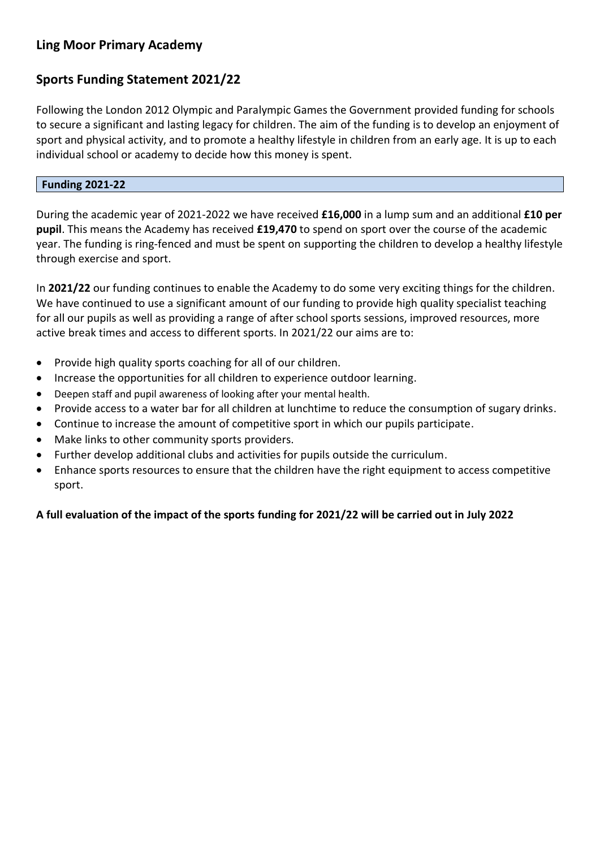# **Ling Moor Primary Academy**

# **Sports Funding Statement 2021/22**

Following the London 2012 Olympic and Paralympic Games the Government provided funding for schools to secure a significant and lasting legacy for children. The aim of the funding is to develop an enjoyment of sport and physical activity, and to promote a healthy lifestyle in children from an early age. It is up to each individual school or academy to decide how this money is spent.

## **Funding 2021-22**

During the academic year of 2021-2022 we have received **£16,000** in a lump sum and an additional **£10 per pupil**. This means the Academy has received **£19,470** to spend on sport over the course of the academic year. The funding is ring-fenced and must be spent on supporting the children to develop a healthy lifestyle through exercise and sport.

In **2021/22** our funding continues to enable the Academy to do some very exciting things for the children. We have continued to use a significant amount of our funding to provide high quality specialist teaching for all our pupils as well as providing a range of after school sports sessions, improved resources, more active break times and access to different sports. In 2021/22 our aims are to:

- Provide high quality sports coaching for all of our children.
- Increase the opportunities for all children to experience outdoor learning.
- Deepen staff and pupil awareness of looking after your mental health.
- Provide access to a water bar for all children at lunchtime to reduce the consumption of sugary drinks.
- Continue to increase the amount of competitive sport in which our pupils participate.
- Make links to other community sports providers.
- Further develop additional clubs and activities for pupils outside the curriculum.
- Enhance sports resources to ensure that the children have the right equipment to access competitive sport.

### **A full evaluation of the impact of the sports funding for 2021/22 will be carried out in July 2022**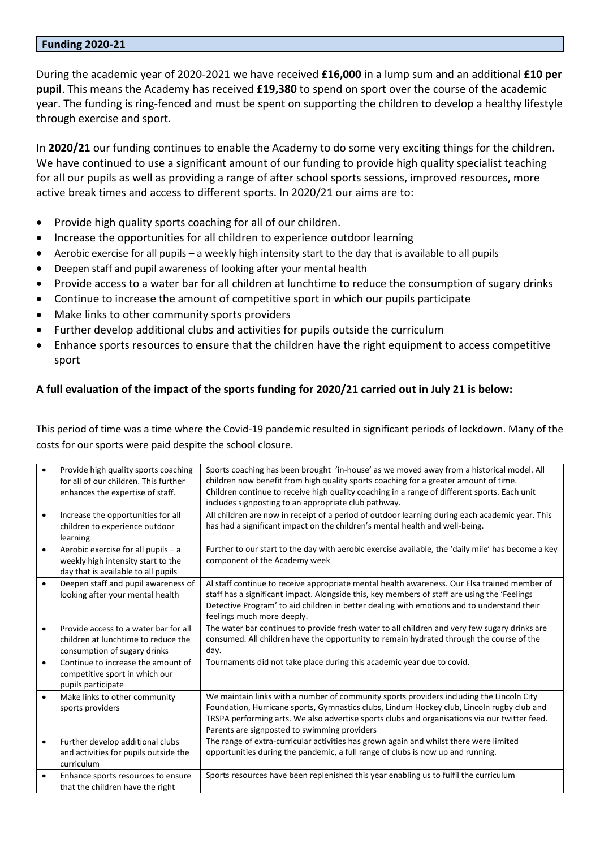#### **Funding 2020-21**

During the academic year of 2020-2021 we have received **£16,000** in a lump sum and an additional **£10 per pupil**. This means the Academy has received **£19,380** to spend on sport over the course of the academic year. The funding is ring-fenced and must be spent on supporting the children to develop a healthy lifestyle through exercise and sport.

In **2020/21** our funding continues to enable the Academy to do some very exciting things for the children. We have continued to use a significant amount of our funding to provide high quality specialist teaching for all our pupils as well as providing a range of after school sports sessions, improved resources, more active break times and access to different sports. In 2020/21 our aims are to:

- Provide high quality sports coaching for all of our children.
- Increase the opportunities for all children to experience outdoor learning
- Aerobic exercise for all pupils a weekly high intensity start to the day that is available to all pupils
- Deepen staff and pupil awareness of looking after your mental health
- Provide access to a water bar for all children at lunchtime to reduce the consumption of sugary drinks
- Continue to increase the amount of competitive sport in which our pupils participate
- Make links to other community sports providers
- Further develop additional clubs and activities for pupils outside the curriculum
- Enhance sports resources to ensure that the children have the right equipment to access competitive sport

# **A full evaluation of the impact of the sports funding for 2020/21 carried out in July 21 is below:**

This period of time was a time where the Covid-19 pandemic resulted in significant periods of lockdown. Many of the costs for our sports were paid despite the school closure.

|           | Provide high quality sports coaching<br>for all of our children. This further<br>enhances the expertise of staff. | Sports coaching has been brought 'in-house' as we moved away from a historical model. All<br>children now benefit from high quality sports coaching for a greater amount of time.<br>Children continue to receive high quality coaching in a range of different sports. Each unit<br>includes signposting to an appropriate club pathway. |
|-----------|-------------------------------------------------------------------------------------------------------------------|-------------------------------------------------------------------------------------------------------------------------------------------------------------------------------------------------------------------------------------------------------------------------------------------------------------------------------------------|
| $\bullet$ | Increase the opportunities for all<br>children to experience outdoor<br>learning                                  | All children are now in receipt of a period of outdoor learning during each academic year. This<br>has had a significant impact on the children's mental health and well-being.                                                                                                                                                           |
| $\bullet$ | Aerobic exercise for all pupils - a<br>weekly high intensity start to the<br>day that is available to all pupils  | Further to our start to the day with aerobic exercise available, the 'daily mile' has become a key<br>component of the Academy week                                                                                                                                                                                                       |
| $\bullet$ | Deepen staff and pupil awareness of<br>looking after your mental health                                           | Al staff continue to receive appropriate mental health awareness. Our Elsa trained member of<br>staff has a significant impact. Alongside this, key members of staff are using the 'Feelings<br>Detective Program' to aid children in better dealing with emotions and to understand their<br>feelings much more deeply.                  |
| $\bullet$ | Provide access to a water bar for all<br>children at lunchtime to reduce the<br>consumption of sugary drinks      | The water bar continues to provide fresh water to all children and very few sugary drinks are<br>consumed. All children have the opportunity to remain hydrated through the course of the<br>day.                                                                                                                                         |
| $\bullet$ | Continue to increase the amount of<br>competitive sport in which our<br>pupils participate                        | Tournaments did not take place during this academic year due to covid.                                                                                                                                                                                                                                                                    |
| $\bullet$ | Make links to other community<br>sports providers                                                                 | We maintain links with a number of community sports providers including the Lincoln City<br>Foundation, Hurricane sports, Gymnastics clubs, Lindum Hockey club, Lincoln rugby club and<br>TRSPA performing arts. We also advertise sports clubs and organisations via our twitter feed.<br>Parents are signposted to swimming providers   |
| $\bullet$ | Further develop additional clubs<br>and activities for pupils outside the<br>curriculum                           | The range of extra-curricular activities has grown again and whilst there were limited<br>opportunities during the pandemic, a full range of clubs is now up and running.                                                                                                                                                                 |
| $\bullet$ | Enhance sports resources to ensure<br>that the children have the right                                            | Sports resources have been replenished this year enabling us to fulfil the curriculum                                                                                                                                                                                                                                                     |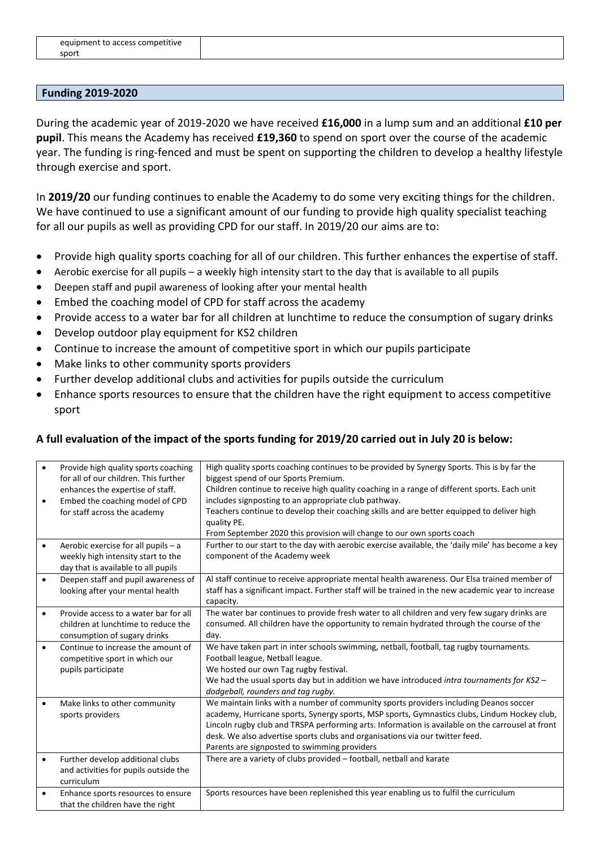| .<br>equipment to access competitive |  |
|--------------------------------------|--|
| sport                                |  |

#### **Funding 2019-2020**

During the academic year of 2019-2020 we have received **£16,000** in a lump sum and an additional **£10 per pupil**. This means the Academy has received **£19,360** to spend on sport over the course of the academic year. The funding is ring-fenced and must be spent on supporting the children to develop a healthy lifestyle through exercise and sport.

In **2019/20** our funding continues to enable the Academy to do some very exciting things for the children. We have continued to use a significant amount of our funding to provide high quality specialist teaching for all our pupils as well as providing CPD for our staff. In 2019/20 our aims are to:

- Provide high quality sports coaching for all of our children. This further enhances the expertise of staff.
- Aerobic exercise for all pupils a weekly high intensity start to the day that is available to all pupils
- Deepen staff and pupil awareness of looking after your mental health
- Embed the coaching model of CPD for staff across the academy
- Provide access to a water bar for all children at lunchtime to reduce the consumption of sugary drinks
- Develop outdoor play equipment for KS2 children
- Continue to increase the amount of competitive sport in which our pupils participate
- Make links to other community sports providers
- Further develop additional clubs and activities for pupils outside the curriculum
- Enhance sports resources to ensure that the children have the right equipment to access competitive sport

#### **A full evaluation of the impact of the sports funding for 2019/20 carried out in July 20 is below:**

| $\bullet$ | Provide high quality sports coaching<br>for all of our children. This further<br>enhances the expertise of staff.<br>Embed the coaching model of CPD<br>for staff across the academy | High quality sports coaching continues to be provided by Synergy Sports. This is by far the<br>biggest spend of our Sports Premium.<br>Children continue to receive high quality coaching in a range of different sports. Each unit<br>includes signposting to an appropriate club pathway.<br>Teachers continue to develop their coaching skills and are better equipped to deliver high<br>quality PE.                  |
|-----------|--------------------------------------------------------------------------------------------------------------------------------------------------------------------------------------|---------------------------------------------------------------------------------------------------------------------------------------------------------------------------------------------------------------------------------------------------------------------------------------------------------------------------------------------------------------------------------------------------------------------------|
| $\bullet$ | Aerobic exercise for all pupils - a<br>weekly high intensity start to the<br>day that is available to all pupils                                                                     | From September 2020 this provision will change to our own sports coach<br>Further to our start to the day with aerobic exercise available, the 'daily mile' has become a key<br>component of the Academy week                                                                                                                                                                                                             |
| $\bullet$ | Deepen staff and pupil awareness of<br>looking after your mental health                                                                                                              | Al staff continue to receive appropriate mental health awareness. Our Elsa trained member of<br>staff has a significant impact. Further staff will be trained in the new academic year to increase<br>capacity.                                                                                                                                                                                                           |
| $\bullet$ | Provide access to a water bar for all<br>children at lunchtime to reduce the<br>consumption of sugary drinks                                                                         | The water bar continues to provide fresh water to all children and very few sugary drinks are<br>consumed. All children have the opportunity to remain hydrated through the course of the<br>day.                                                                                                                                                                                                                         |
| $\bullet$ | Continue to increase the amount of<br>competitive sport in which our<br>pupils participate                                                                                           | We have taken part in inter schools swimming, netball, football, tag rugby tournaments.<br>Football league, Netball league.<br>We hosted our own Tag rugby festival.<br>We had the usual sports day but in addition we have introduced <i>intra tournaments for KS2 -</i><br>dodgeball, rounders and tag rugby.                                                                                                           |
| $\bullet$ | Make links to other community<br>sports providers                                                                                                                                    | We maintain links with a number of community sports providers including Deanos soccer<br>academy, Hurricane sports, Synergy sports, MSP sports, Gymnastics clubs, Lindum Hockey club,<br>Lincoln rugby club and TRSPA performing arts. Information is available on the carrousel at front<br>desk. We also advertise sports clubs and organisations via our twitter feed.<br>Parents are signposted to swimming providers |
| $\bullet$ | Further develop additional clubs<br>and activities for pupils outside the<br>curriculum                                                                                              | There are a variety of clubs provided - football, netball and karate                                                                                                                                                                                                                                                                                                                                                      |
| $\bullet$ | Enhance sports resources to ensure<br>that the children have the right                                                                                                               | Sports resources have been replenished this year enabling us to fulfil the curriculum                                                                                                                                                                                                                                                                                                                                     |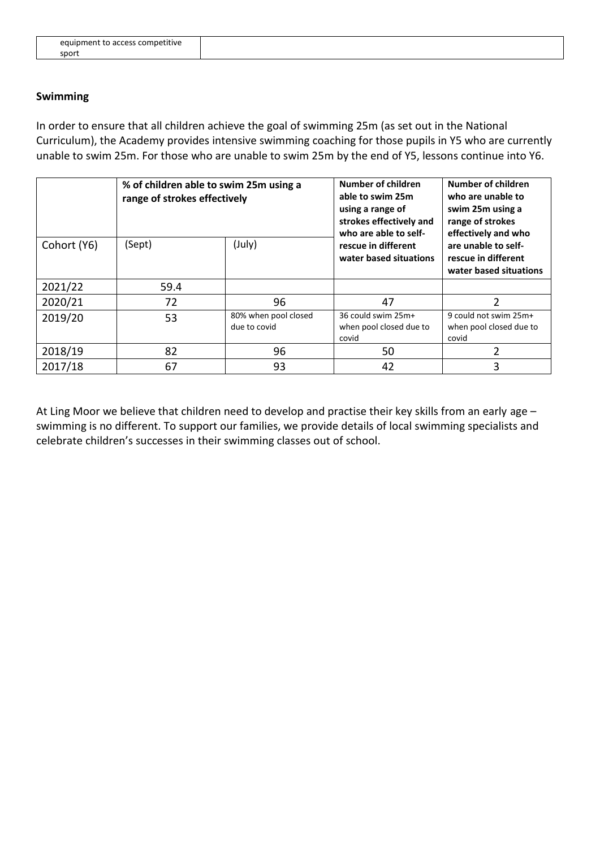#### **Swimming**

In order to ensure that all children achieve the goal of swimming 25m (as set out in the National Curriculum), the Academy provides intensive swimming coaching for those pupils in Y5 who are currently unable to swim 25m. For those who are unable to swim 25m by the end of Y5, lessons continue into Y6.

|             | % of children able to swim 25m using a<br>range of strokes effectively |                                      | Number of children<br>able to swim 25m<br>using a range of<br>strokes effectively and<br>who are able to self- | Number of children<br>who are unable to<br>swim 25m using a<br>range of strokes<br>effectively and who |
|-------------|------------------------------------------------------------------------|--------------------------------------|----------------------------------------------------------------------------------------------------------------|--------------------------------------------------------------------------------------------------------|
| Cohort (Y6) | (Sept)                                                                 | (July)                               | rescue in different<br>water based situations                                                                  | are unable to self-<br>rescue in different<br>water based situations                                   |
| 2021/22     | 59.4                                                                   |                                      |                                                                                                                |                                                                                                        |
| 2020/21     | 72                                                                     | 96                                   | 47                                                                                                             | $\mathfrak{p}$                                                                                         |
| 2019/20     | 53                                                                     | 80% when pool closed<br>due to covid | 36 could swim 25m+<br>when pool closed due to<br>covid                                                         | 9 could not swim 25m+<br>when pool closed due to<br>covid                                              |
| 2018/19     | 82                                                                     | 96                                   | 50                                                                                                             | 2                                                                                                      |
| 2017/18     | 67                                                                     | 93                                   | 42                                                                                                             | 3                                                                                                      |

At Ling Moor we believe that children need to develop and practise their key skills from an early age – swimming is no different. To support our families, we provide details of local swimming specialists and celebrate children's successes in their swimming classes out of school.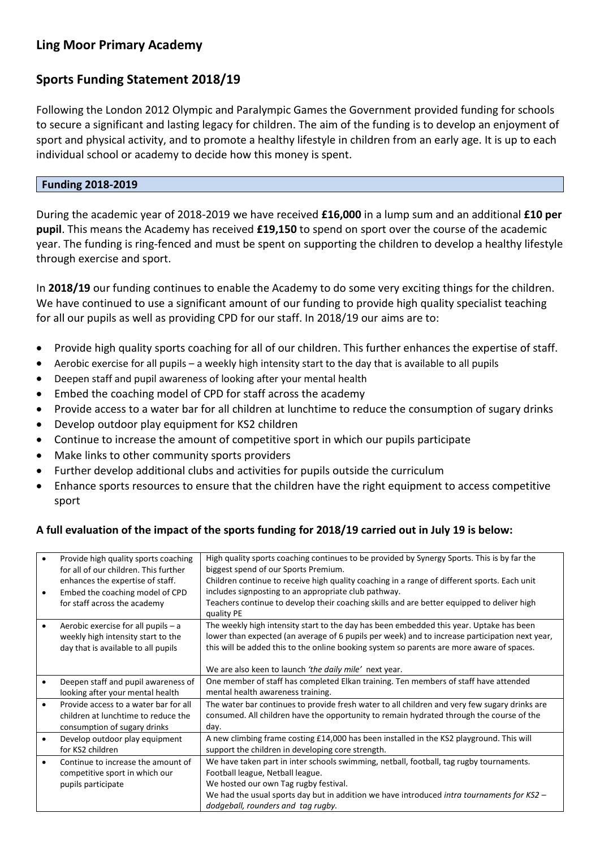# **Ling Moor Primary Academy**

# **Sports Funding Statement 2018/19**

Following the London 2012 Olympic and Paralympic Games the Government provided funding for schools to secure a significant and lasting legacy for children. The aim of the funding is to develop an enjoyment of sport and physical activity, and to promote a healthy lifestyle in children from an early age. It is up to each individual school or academy to decide how this money is spent.

#### **Funding 2018-2019**

During the academic year of 2018-2019 we have received **£16,000** in a lump sum and an additional **£10 per pupil**. This means the Academy has received **£19,150** to spend on sport over the course of the academic year. The funding is ring-fenced and must be spent on supporting the children to develop a healthy lifestyle through exercise and sport.

In **2018/19** our funding continues to enable the Academy to do some very exciting things for the children. We have continued to use a significant amount of our funding to provide high quality specialist teaching for all our pupils as well as providing CPD for our staff. In 2018/19 our aims are to:

- Provide high quality sports coaching for all of our children. This further enhances the expertise of staff.
- Aerobic exercise for all pupils a weekly high intensity start to the day that is available to all pupils
- Deepen staff and pupil awareness of looking after your mental health
- Embed the coaching model of CPD for staff across the academy
- Provide access to a water bar for all children at lunchtime to reduce the consumption of sugary drinks
- Develop outdoor play equipment for KS2 children
- Continue to increase the amount of competitive sport in which our pupils participate
- Make links to other community sports providers
- Further develop additional clubs and activities for pupils outside the curriculum
- Enhance sports resources to ensure that the children have the right equipment to access competitive sport

### **A full evaluation of the impact of the sports funding for 2018/19 carried out in July 19 is below:**

| Provide high quality sports coaching  | High quality sports coaching continues to be provided by Synergy Sports. This is by far the    |
|---------------------------------------|------------------------------------------------------------------------------------------------|
| for all of our children. This further | biggest spend of our Sports Premium.                                                           |
| enhances the expertise of staff.      | Children continue to receive high quality coaching in a range of different sports. Each unit   |
| Embed the coaching model of CPD       | includes signposting to an appropriate club pathway.                                           |
| for staff across the academy          | Teachers continue to develop their coaching skills and are better equipped to deliver high     |
|                                       | quality PE                                                                                     |
| Aerobic exercise for all pupils $- a$ | The weekly high intensity start to the day has been embedded this year. Uptake has been        |
| weekly high intensity start to the    | lower than expected (an average of 6 pupils per week) and to increase participation next year, |
| day that is available to all pupils   | this will be added this to the online booking system so parents are more aware of spaces.      |
|                                       |                                                                                                |
|                                       | We are also keen to launch 'the daily mile' next year.                                         |
| Deepen staff and pupil awareness of   | One member of staff has completed Elkan training. Ten members of staff have attended           |
| looking after your mental health      | mental health awareness training.                                                              |
| Provide access to a water bar for all | The water bar continues to provide fresh water to all children and very few sugary drinks are  |
| children at lunchtime to reduce the   | consumed. All children have the opportunity to remain hydrated through the course of the       |
| consumption of sugary drinks          | day.                                                                                           |
| Develop outdoor play equipment        | A new climbing frame costing £14,000 has been installed in the KS2 playground. This will       |
| for KS2 children                      | support the children in developing core strength.                                              |
| Continue to increase the amount of    | We have taken part in inter schools swimming, netball, football, tag rugby tournaments.        |
| competitive sport in which our        | Football league, Netball league.                                                               |
|                                       | We hosted our own Tag rugby festival.                                                          |
|                                       | We had the usual sports day but in addition we have introduced intra tournaments for $KS2 -$   |
|                                       | dodgeball, rounders and tag rugby.                                                             |
|                                       | pupils participate                                                                             |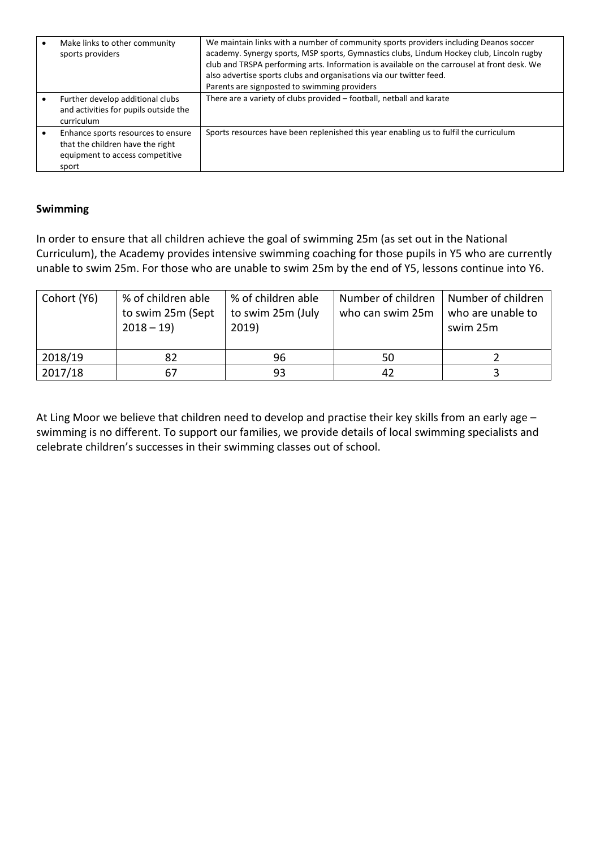| Make links to other community<br>sports providers                                                                  | We maintain links with a number of community sports providers including Deanos soccer<br>academy. Synergy sports, MSP sports, Gymnastics clubs, Lindum Hockey club, Lincoln rugby<br>club and TRSPA performing arts. Information is available on the carrousel at front desk. We<br>also advertise sports clubs and organisations via our twitter feed.<br>Parents are signposted to swimming providers |
|--------------------------------------------------------------------------------------------------------------------|---------------------------------------------------------------------------------------------------------------------------------------------------------------------------------------------------------------------------------------------------------------------------------------------------------------------------------------------------------------------------------------------------------|
| Further develop additional clubs<br>and activities for pupils outside the<br>curriculum                            | There are a variety of clubs provided - football, netball and karate                                                                                                                                                                                                                                                                                                                                    |
| Enhance sports resources to ensure<br>that the children have the right<br>equipment to access competitive<br>sport | Sports resources have been replenished this year enabling us to fulfil the curriculum                                                                                                                                                                                                                                                                                                                   |

### **Swimming**

In order to ensure that all children achieve the goal of swimming 25m (as set out in the National Curriculum), the Academy provides intensive swimming coaching for those pupils in Y5 who are currently unable to swim 25m. For those who are unable to swim 25m by the end of Y5, lessons continue into Y6.

| Cohort (Y6) | % of children able<br>to swim 25m (Sept<br>$2018 - 19$ | % of children able<br>to swim 25m (July<br>2019) | Number of children<br>who can swim 25m | Number of children<br>who are unable to<br>swim 25m |
|-------------|--------------------------------------------------------|--------------------------------------------------|----------------------------------------|-----------------------------------------------------|
| 2018/19     |                                                        | 96                                               | 50                                     |                                                     |
| 2017/18     |                                                        | 93                                               | 42                                     |                                                     |

At Ling Moor we believe that children need to develop and practise their key skills from an early age – swimming is no different. To support our families, we provide details of local swimming specialists and celebrate children's successes in their swimming classes out of school.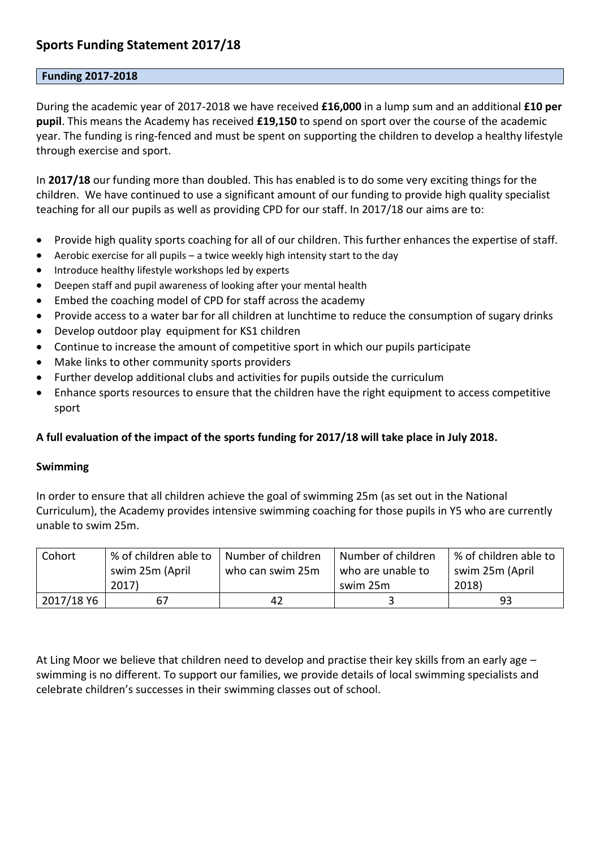# **Sports Funding Statement 2017/18**

#### **Funding 2017-2018**

During the academic year of 2017-2018 we have received **£16,000** in a lump sum and an additional **£10 per pupil**. This means the Academy has received **£19,150** to spend on sport over the course of the academic year. The funding is ring-fenced and must be spent on supporting the children to develop a healthy lifestyle through exercise and sport.

In **2017/18** our funding more than doubled. This has enabled is to do some very exciting things for the children. We have continued to use a significant amount of our funding to provide high quality specialist teaching for all our pupils as well as providing CPD for our staff. In 2017/18 our aims are to:

- Provide high quality sports coaching for all of our children. This further enhances the expertise of staff.
- Aerobic exercise for all pupils a twice weekly high intensity start to the day
- Introduce healthy lifestyle workshops led by experts
- Deepen staff and pupil awareness of looking after your mental health
- Embed the coaching model of CPD for staff across the academy
- Provide access to a water bar for all children at lunchtime to reduce the consumption of sugary drinks
- Develop outdoor play equipment for KS1 children
- Continue to increase the amount of competitive sport in which our pupils participate
- Make links to other community sports providers
- Further develop additional clubs and activities for pupils outside the curriculum
- Enhance sports resources to ensure that the children have the right equipment to access competitive sport

#### **A full evaluation of the impact of the sports funding for 2017/18 will take place in July 2018.**

#### **Swimming**

In order to ensure that all children achieve the goal of swimming 25m (as set out in the National Curriculum), the Academy provides intensive swimming coaching for those pupils in Y5 who are currently unable to swim 25m.

| Cohort     | % of children able to | Number of children | Number of children | % of children able to |
|------------|-----------------------|--------------------|--------------------|-----------------------|
|            | swim 25m (April       | who can swim 25m   | who are unable to  | swim 25m (April       |
|            | 2017)                 |                    | swim 25m           | 2018)                 |
| 2017/18 Y6 | 67                    | 42                 |                    | 93                    |

At Ling Moor we believe that children need to develop and practise their key skills from an early age – swimming is no different. To support our families, we provide details of local swimming specialists and celebrate children's successes in their swimming classes out of school.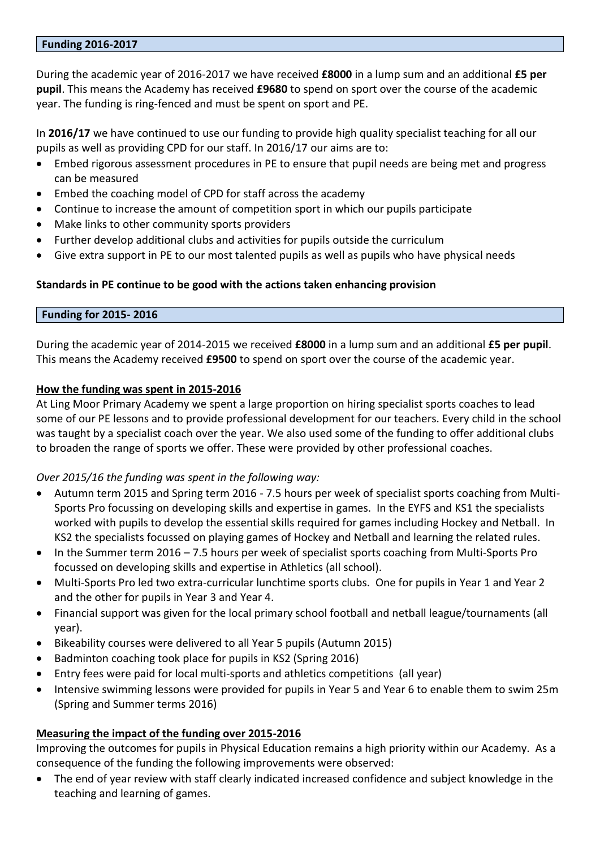#### **Funding 2016-2017**

During the academic year of 2016-2017 we have received **£8000** in a lump sum and an additional **£5 per pupil**. This means the Academy has received **£9680** to spend on sport over the course of the academic year. The funding is ring-fenced and must be spent on sport and PE.

In **2016/17** we have continued to use our funding to provide high quality specialist teaching for all our pupils as well as providing CPD for our staff. In 2016/17 our aims are to:

- Embed rigorous assessment procedures in PE to ensure that pupil needs are being met and progress can be measured
- Embed the coaching model of CPD for staff across the academy
- Continue to increase the amount of competition sport in which our pupils participate
- Make links to other community sports providers
- Further develop additional clubs and activities for pupils outside the curriculum
- Give extra support in PE to our most talented pupils as well as pupils who have physical needs

#### **Standards in PE continue to be good with the actions taken enhancing provision**

#### **Funding for 2015- 2016**

During the academic year of 2014-2015 we received **£8000** in a lump sum and an additional **£5 per pupil**. This means the Academy received **£9500** to spend on sport over the course of the academic year.

#### **How the funding was spent in 2015-2016**

At Ling Moor Primary Academy we spent a large proportion on hiring specialist sports coaches to lead some of our PE lessons and to provide professional development for our teachers. Every child in the school was taught by a specialist coach over the year. We also used some of the funding to offer additional clubs to broaden the range of sports we offer. These were provided by other professional coaches.

### *Over 2015/16 the funding was spent in the following way:*

- Autumn term 2015 and Spring term 2016 7.5 hours per week of specialist sports coaching from Multi-Sports Pro focussing on developing skills and expertise in games. In the EYFS and KS1 the specialists worked with pupils to develop the essential skills required for games including Hockey and Netball. In KS2 the specialists focussed on playing games of Hockey and Netball and learning the related rules.
- In the Summer term 2016 7.5 hours per week of specialist sports coaching from Multi-Sports Pro focussed on developing skills and expertise in Athletics (all school).
- Multi-Sports Pro led two extra-curricular lunchtime sports clubs. One for pupils in Year 1 and Year 2 and the other for pupils in Year 3 and Year 4.
- Financial support was given for the local primary school football and netball league/tournaments (all year).
- Bikeability courses were delivered to all Year 5 pupils (Autumn 2015)
- Badminton coaching took place for pupils in KS2 (Spring 2016)
- Entry fees were paid for local multi-sports and athletics competitions (all year)
- Intensive swimming lessons were provided for pupils in Year 5 and Year 6 to enable them to swim 25m (Spring and Summer terms 2016)

### **Measuring the impact of the funding over 2015-2016**

Improving the outcomes for pupils in Physical Education remains a high priority within our Academy. As a consequence of the funding the following improvements were observed:

 The end of year review with staff clearly indicated increased confidence and subject knowledge in the teaching and learning of games.